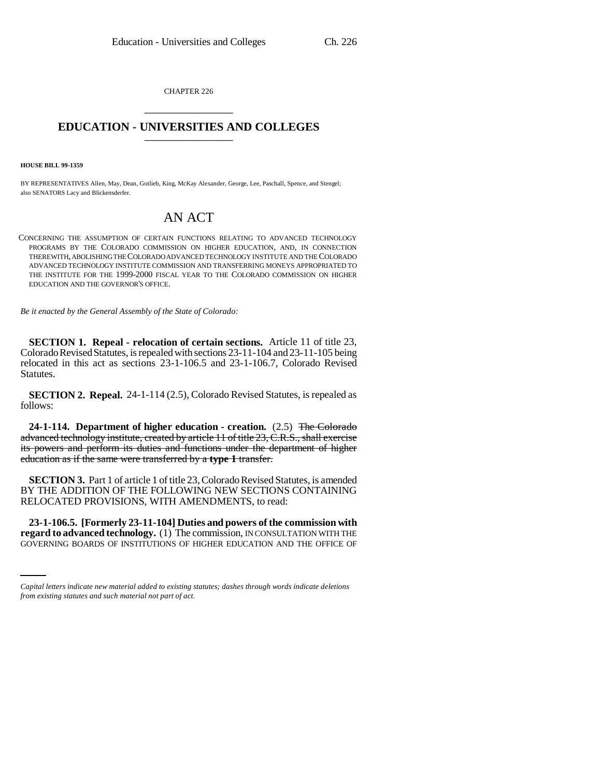CHAPTER 226 \_\_\_\_\_\_\_\_\_\_\_\_\_\_\_

## **EDUCATION - UNIVERSITIES AND COLLEGES** \_\_\_\_\_\_\_\_\_\_\_\_\_\_\_

**HOUSE BILL 99-1359** 

BY REPRESENTATIVES Allen, May, Dean, Gotlieb, King, McKay Alexander, George, Lee, Paschall, Spence, and Stengel; also SENATORS Lacy and Blickensderfer.

## AN ACT

CONCERNING THE ASSUMPTION OF CERTAIN FUNCTIONS RELATING TO ADVANCED TECHNOLOGY PROGRAMS BY THE COLORADO COMMISSION ON HIGHER EDUCATION, AND, IN CONNECTION THEREWITH, ABOLISHING THE COLORADO ADVANCED TECHNOLOGY INSTITUTE AND THE COLORADO ADVANCED TECHNOLOGY INSTITUTE COMMISSION AND TRANSFERRING MONEYS APPROPRIATED TO THE INSTITUTE FOR THE 1999-2000 FISCAL YEAR TO THE COLORADO COMMISSION ON HIGHER EDUCATION AND THE GOVERNOR'S OFFICE.

*Be it enacted by the General Assembly of the State of Colorado:*

**SECTION 1. Repeal - relocation of certain sections.** Article 11 of title 23, Colorado Revised Statutes, is repealed with sections 23-11-104 and 23-11-105 being relocated in this act as sections 23-1-106.5 and 23-1-106.7, Colorado Revised Statutes.

**SECTION 2. Repeal.** 24-1-114 (2.5), Colorado Revised Statutes, is repealed as follows:

**24-1-114. Department of higher education - creation.** (2.5) The Colorado advanced technology institute, created by article 11 of title 23, C.R.S., shall exercise its powers and perform its duties and functions under the department of higher education as if the same were transferred by a **type 1** transfer.

**SECTION 3.** Part 1 of article 1 of title 23, Colorado Revised Statutes, is amended BY THE ADDITION OF THE FOLLOWING NEW SECTIONS CONTAINING RELOCATED PROVISIONS, WITH AMENDMENTS, to read:

 **23-1-106.5. [Formerly 23-11-104] Duties and powers of the commission with regard to advanced technology.** (1) The commission, IN CONSULTATION WITH THE GOVERNING BOARDS OF INSTITUTIONS OF HIGHER EDUCATION AND THE OFFICE OF

*Capital letters indicate new material added to existing statutes; dashes through words indicate deletions from existing statutes and such material not part of act.*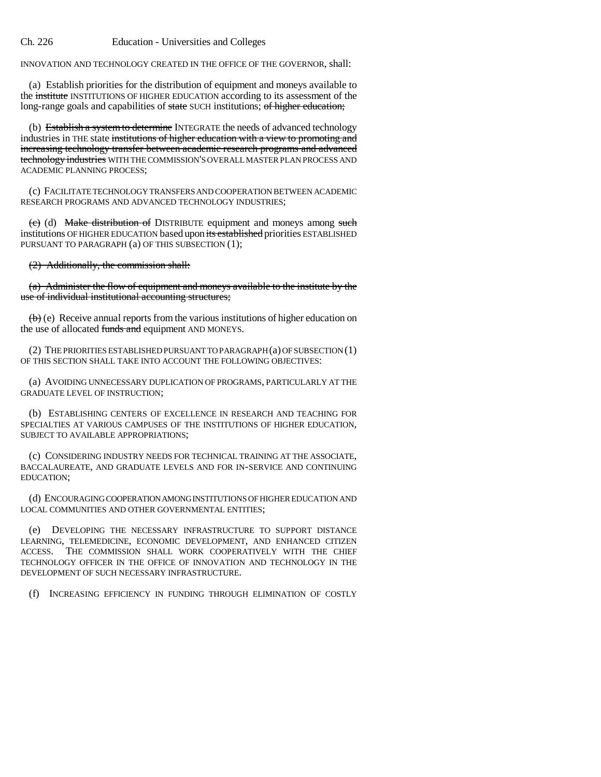INNOVATION AND TECHNOLOGY CREATED IN THE OFFICE OF THE GOVERNOR, shall:

(a) Establish priorities for the distribution of equipment and moneys available to the institute INSTITUTIONS OF HIGHER EDUCATION according to its assessment of the long-range goals and capabilities of state SUCH institutions; of higher education;

(b) Establish a system to determine INTEGRATE the needs of advanced technology industries in THE state institutions of higher education with a view to promoting and increasing technology transfer between academic research programs and advanced technology industries WITH THE COMMISSION'S OVERALL MASTER PLAN PROCESS AND ACADEMIC PLANNING PROCESS;

(c) FACILITATE TECHNOLOGY TRANSFERS AND COOPERATION BETWEEN ACADEMIC RESEARCH PROGRAMS AND ADVANCED TECHNOLOGY INDUSTRIES;

(c) (d) Make distribution of DISTRIBUTE equipment and moneys among such institutions OF HIGHER EDUCATION based upon its established priorities ESTABLISHED PURSUANT TO PARAGRAPH (a) OF THIS SUBSECTION (1);

(2) Additionally, the commission shall:

(a) Administer the flow of equipment and moneys available to the institute by the use of individual institutional accounting structures;

 $\langle \theta \rangle$  (e) Receive annual reports from the various institutions of higher education on the use of allocated funds and equipment AND MONEYS.

(2) THE PRIORITIES ESTABLISHED PURSUANT TO PARAGRAPH (a) OF SUBSECTION (1) OF THIS SECTION SHALL TAKE INTO ACCOUNT THE FOLLOWING OBJECTIVES:

(a) AVOIDING UNNECESSARY DUPLICATION OF PROGRAMS, PARTICULARLY AT THE GRADUATE LEVEL OF INSTRUCTION;

(b) ESTABLISHING CENTERS OF EXCELLENCE IN RESEARCH AND TEACHING FOR SPECIALTIES AT VARIOUS CAMPUSES OF THE INSTITUTIONS OF HIGHER EDUCATION, SUBJECT TO AVAILABLE APPROPRIATIONS;

(c) CONSIDERING INDUSTRY NEEDS FOR TECHNICAL TRAINING AT THE ASSOCIATE, BACCALAUREATE, AND GRADUATE LEVELS AND FOR IN-SERVICE AND CONTINUING EDUCATION;

(d) ENCOURAGING COOPERATION AMONG INSTITUTIONS OF HIGHER EDUCATION AND LOCAL COMMUNITIES AND OTHER GOVERNMENTAL ENTITIES;

(e) DEVELOPING THE NECESSARY INFRASTRUCTURE TO SUPPORT DISTANCE LEARNING, TELEMEDICINE, ECONOMIC DEVELOPMENT, AND ENHANCED CITIZEN ACCESS. THE COMMISSION SHALL WORK COOPERATIVELY WITH THE CHIEF TECHNOLOGY OFFICER IN THE OFFICE OF INNOVATION AND TECHNOLOGY IN THE DEVELOPMENT OF SUCH NECESSARY INFRASTRUCTURE.

(f) INCREASING EFFICIENCY IN FUNDING THROUGH ELIMINATION OF COSTLY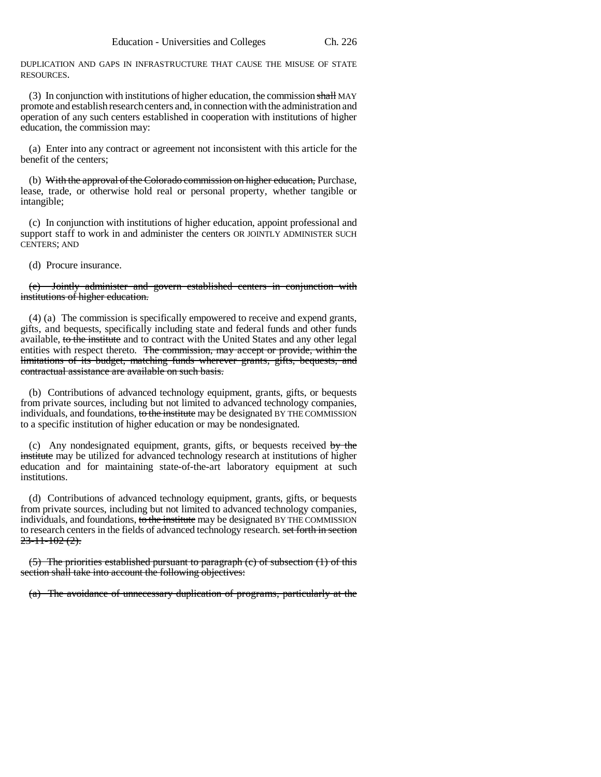DUPLICATION AND GAPS IN INFRASTRUCTURE THAT CAUSE THE MISUSE OF STATE RESOURCES.

(3) In conjunction with institutions of higher education, the commission shall MAY promote and establish research centers and, in connection with the administration and operation of any such centers established in cooperation with institutions of higher education, the commission may:

(a) Enter into any contract or agreement not inconsistent with this article for the benefit of the centers;

(b) With the approval of the Colorado commission on higher education, Purchase, lease, trade, or otherwise hold real or personal property, whether tangible or intangible;

(c) In conjunction with institutions of higher education, appoint professional and support staff to work in and administer the centers OR JOINTLY ADMINISTER SUCH CENTERS; AND

(d) Procure insurance.

Jointly administer and govern established centers in conjunction with institutions of higher education.

(4) (a) The commission is specifically empowered to receive and expend grants, gifts, and bequests, specifically including state and federal funds and other funds available, to the institute and to contract with the United States and any other legal entities with respect thereto. The commission, may accept or provide, within the limitations of its budget, matching funds wherever grants, gifts, bequests, and contractual assistance are available on such basis.

(b) Contributions of advanced technology equipment, grants, gifts, or bequests from private sources, including but not limited to advanced technology companies, individuals, and foundations, to the institute may be designated BY THE COMMISSION to a specific institution of higher education or may be nondesignated.

(c) Any nondesignated equipment, grants, gifts, or bequests received by the institute may be utilized for advanced technology research at institutions of higher education and for maintaining state-of-the-art laboratory equipment at such institutions.

(d) Contributions of advanced technology equipment, grants, gifts, or bequests from private sources, including but not limited to advanced technology companies, individuals, and foundations, to the institute may be designated BY THE COMMISSION to research centers in the fields of advanced technology research. set forth in section  $23 - 11 - 102(2)$ .

(5) The priorities established pursuant to paragraph (c) of subsection (1) of this section shall take into account the following objectives:

(a) The avoidance of unnecessary duplication of programs, particularly at the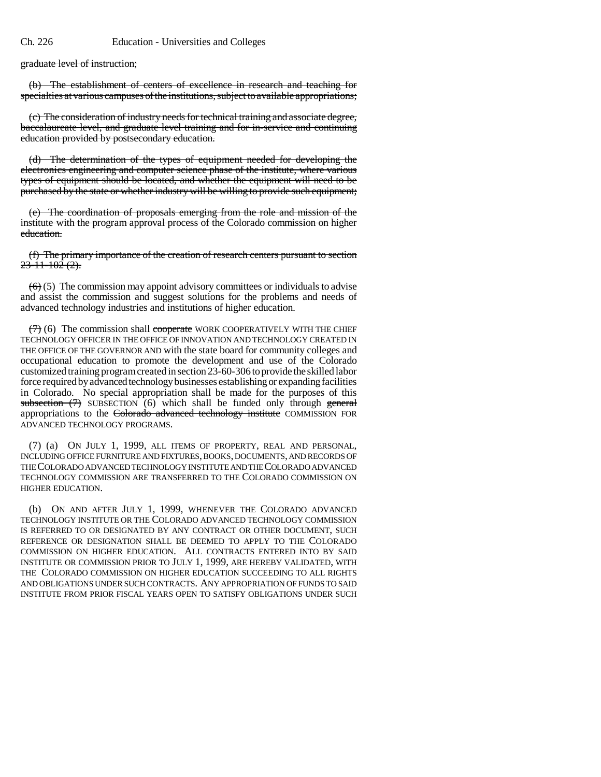graduate level of instruction;

(b) The establishment of centers of excellence in research and teaching for specialties at various campuses of the institutions, subject to available appropriations;

(c) The consideration of industry needs for technical training and associate degree, baccalaureate level, and graduate level training and for in-service and continuing education provided by postsecondary education.

(d) The determination of the types of equipment needed for developing the electronics engineering and computer science phase of the institute, where various types of equipment should be located, and whether the equipment will need to be purchased by the state or whether industry will be willing to provide such equipment;

(e) The coordination of proposals emerging from the role and mission of the institute with the program approval process of the Colorado commission on higher education.

(f) The primary importance of the creation of research centers pursuant to section  $23 - 11 - 102$  (2).

 $(6)$  (5) The commission may appoint advisory committees or individuals to advise and assist the commission and suggest solutions for the problems and needs of advanced technology industries and institutions of higher education.

 $(7)$  (6) The commission shall cooperate WORK COOPERATIVELY WITH THE CHIEF TECHNOLOGY OFFICER IN THE OFFICE OF INNOVATION AND TECHNOLOGY CREATED IN THE OFFICE OF THE GOVERNOR AND with the state board for community colleges and occupational education to promote the development and use of the Colorado customized training program created in section 23-60-306 to provide the skilled labor force required by advanced technology businesses establishing or expanding facilities in Colorado. No special appropriation shall be made for the purposes of this subsection  $(7)$  SUBSECTION  $(6)$  which shall be funded only through general appropriations to the Colorado advanced technology institute COMMISSION FOR ADVANCED TECHNOLOGY PROGRAMS.

(7) (a) ON JULY 1, 1999, ALL ITEMS OF PROPERTY, REAL AND PERSONAL, INCLUDING OFFICE FURNITURE AND FIXTURES, BOOKS, DOCUMENTS, AND RECORDS OF THE COLORADO ADVANCED TECHNOLOGY INSTITUTE AND THE COLORADO ADVANCED TECHNOLOGY COMMISSION ARE TRANSFERRED TO THE COLORADO COMMISSION ON HIGHER EDUCATION.

(b) ON AND AFTER JULY 1, 1999, WHENEVER THE COLORADO ADVANCED TECHNOLOGY INSTITUTE OR THE COLORADO ADVANCED TECHNOLOGY COMMISSION IS REFERRED TO OR DESIGNATED BY ANY CONTRACT OR OTHER DOCUMENT, SUCH REFERENCE OR DESIGNATION SHALL BE DEEMED TO APPLY TO THE COLORADO COMMISSION ON HIGHER EDUCATION. ALL CONTRACTS ENTERED INTO BY SAID INSTITUTE OR COMMISSION PRIOR TO JULY 1, 1999, ARE HEREBY VALIDATED, WITH THE COLORADO COMMISSION ON HIGHER EDUCATION SUCCEEDING TO ALL RIGHTS AND OBLIGATIONS UNDER SUCH CONTRACTS. ANY APPROPRIATION OF FUNDS TO SAID INSTITUTE FROM PRIOR FISCAL YEARS OPEN TO SATISFY OBLIGATIONS UNDER SUCH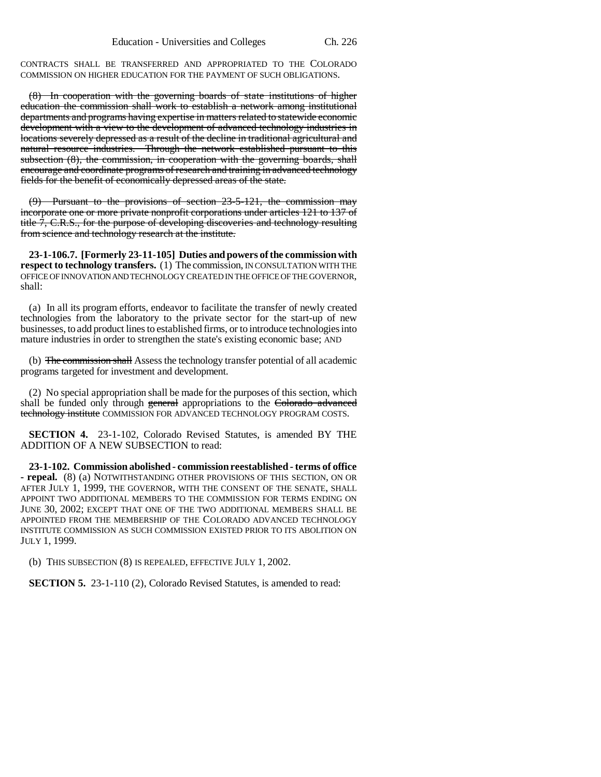CONTRACTS SHALL BE TRANSFERRED AND APPROPRIATED TO THE COLORADO COMMISSION ON HIGHER EDUCATION FOR THE PAYMENT OF SUCH OBLIGATIONS.

(8) In cooperation with the governing boards of state institutions of higher education the commission shall work to establish a network among institutional departments and programs having expertise in matters related to statewide economic development with a view to the development of advanced technology industries in locations severely depressed as a result of the decline in traditional agricultural and natural resource industries. Through the network established pursuant to this subsection (8), the commission, in cooperation with the governing boards, shall encourage and coordinate programs of research and training in advanced technology fields for the benefit of economically depressed areas of the state.

(9) Pursuant to the provisions of section 23-5-121, the commission may incorporate one or more private nonprofit corporations under articles 121 to 137 of title 7, C.R.S., for the purpose of developing discoveries and technology resulting from science and technology research at the institute.

**23-1-106.7. [Formerly 23-11-105] Duties and powers of the commission with respect to technology transfers.** (1) The commission, IN CONSULTATION WITH THE OFFICE OF INNOVATION AND TECHNOLOGY CREATED IN THE OFFICE OF THE GOVERNOR, shall:

(a) In all its program efforts, endeavor to facilitate the transfer of newly created technologies from the laboratory to the private sector for the start-up of new businesses, to add product lines to established firms, or to introduce technologies into mature industries in order to strengthen the state's existing economic base; AND

(b) The commission shall Assess the technology transfer potential of all academic programs targeted for investment and development.

(2) No special appropriation shall be made for the purposes of this section, which shall be funded only through general appropriations to the Colorado advanced technology institute COMMISSION FOR ADVANCED TECHNOLOGY PROGRAM COSTS.

**SECTION 4.** 23-1-102, Colorado Revised Statutes, is amended BY THE ADDITION OF A NEW SUBSECTION to read:

**23-1-102. Commission abolished - commission reestablished - terms of office - repeal.** (8) (a) NOTWITHSTANDING OTHER PROVISIONS OF THIS SECTION, ON OR AFTER JULY 1, 1999, THE GOVERNOR, WITH THE CONSENT OF THE SENATE, SHALL APPOINT TWO ADDITIONAL MEMBERS TO THE COMMISSION FOR TERMS ENDING ON JUNE 30, 2002; EXCEPT THAT ONE OF THE TWO ADDITIONAL MEMBERS SHALL BE APPOINTED FROM THE MEMBERSHIP OF THE COLORADO ADVANCED TECHNOLOGY INSTITUTE COMMISSION AS SUCH COMMISSION EXISTED PRIOR TO ITS ABOLITION ON JULY 1, 1999.

(b) THIS SUBSECTION (8) IS REPEALED, EFFECTIVE JULY 1, 2002.

**SECTION 5.** 23-1-110 (2), Colorado Revised Statutes, is amended to read: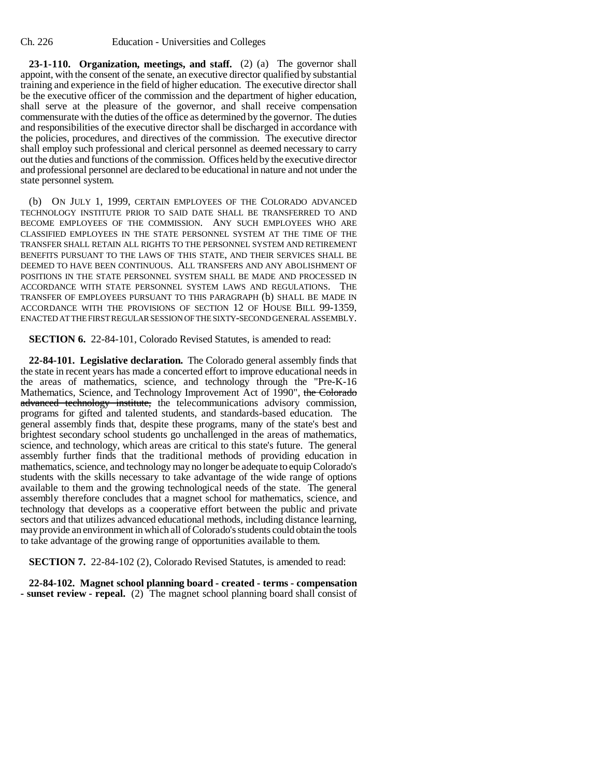**23-1-110. Organization, meetings, and staff.** (2) (a) The governor shall appoint, with the consent of the senate, an executive director qualified by substantial training and experience in the field of higher education. The executive director shall be the executive officer of the commission and the department of higher education, shall serve at the pleasure of the governor, and shall receive compensation commensurate with the duties of the office as determined by the governor. The duties and responsibilities of the executive director shall be discharged in accordance with the policies, procedures, and directives of the commission. The executive director shall employ such professional and clerical personnel as deemed necessary to carry out the duties and functions of the commission. Offices held by the executive director and professional personnel are declared to be educational in nature and not under the state personnel system.

(b) ON JULY 1, 1999, CERTAIN EMPLOYEES OF THE COLORADO ADVANCED TECHNOLOGY INSTITUTE PRIOR TO SAID DATE SHALL BE TRANSFERRED TO AND BECOME EMPLOYEES OF THE COMMISSION. ANY SUCH EMPLOYEES WHO ARE CLASSIFIED EMPLOYEES IN THE STATE PERSONNEL SYSTEM AT THE TIME OF THE TRANSFER SHALL RETAIN ALL RIGHTS TO THE PERSONNEL SYSTEM AND RETIREMENT BENEFITS PURSUANT TO THE LAWS OF THIS STATE, AND THEIR SERVICES SHALL BE DEEMED TO HAVE BEEN CONTINUOUS. ALL TRANSFERS AND ANY ABOLISHMENT OF POSITIONS IN THE STATE PERSONNEL SYSTEM SHALL BE MADE AND PROCESSED IN ACCORDANCE WITH STATE PERSONNEL SYSTEM LAWS AND REGULATIONS. THE TRANSFER OF EMPLOYEES PURSUANT TO THIS PARAGRAPH (b) SHALL BE MADE IN ACCORDANCE WITH THE PROVISIONS OF SECTION 12 OF HOUSE BILL 99-1359, ENACTED AT THE FIRST REGULAR SESSION OF THE SIXTY-SECOND GENERAL ASSEMBLY.

**SECTION 6.** 22-84-101, Colorado Revised Statutes, is amended to read:

**22-84-101. Legislative declaration.** The Colorado general assembly finds that the state in recent years has made a concerted effort to improve educational needs in the areas of mathematics, science, and technology through the "Pre-K-16 Mathematics, Science, and Technology Improvement Act of 1990", the Colorado advanced technology institute, the telecommunications advisory commission, programs for gifted and talented students, and standards-based education. The general assembly finds that, despite these programs, many of the state's best and brightest secondary school students go unchallenged in the areas of mathematics, science, and technology, which areas are critical to this state's future. The general assembly further finds that the traditional methods of providing education in mathematics, science, and technology may no longer be adequate to equip Colorado's students with the skills necessary to take advantage of the wide range of options available to them and the growing technological needs of the state. The general assembly therefore concludes that a magnet school for mathematics, science, and technology that develops as a cooperative effort between the public and private sectors and that utilizes advanced educational methods, including distance learning, may provide an environment in which all of Colorado's students could obtain the tools to take advantage of the growing range of opportunities available to them.

**SECTION 7.** 22-84-102 (2), Colorado Revised Statutes, is amended to read:

**22-84-102. Magnet school planning board - created - terms - compensation - sunset review - repeal.** (2) The magnet school planning board shall consist of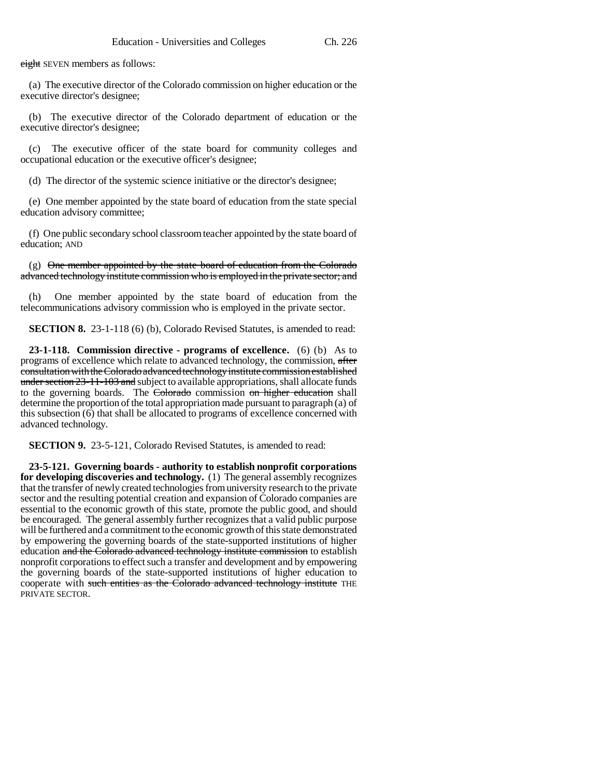eight SEVEN members as follows:

(a) The executive director of the Colorado commission on higher education or the executive director's designee;

(b) The executive director of the Colorado department of education or the executive director's designee;

(c) The executive officer of the state board for community colleges and occupational education or the executive officer's designee;

(d) The director of the systemic science initiative or the director's designee;

(e) One member appointed by the state board of education from the state special education advisory committee;

(f) One public secondary school classroom teacher appointed by the state board of education; AND

(g) One member appointed by the state board of education from the Colorado advanced technology institute commission who is employed in the private sector; and

(h) One member appointed by the state board of education from the telecommunications advisory commission who is employed in the private sector.

**SECTION 8.** 23-1-118 (6) (b), Colorado Revised Statutes, is amended to read:

**23-1-118. Commission directive - programs of excellence.** (6) (b) As to programs of excellence which relate to advanced technology, the commission, after consultation with the Colorado advanced technology institute commission established under section 23-11-103 and subject to available appropriations, shall allocate funds to the governing boards. The Colorado commission on higher education shall determine the proportion of the total appropriation made pursuant to paragraph (a) of this subsection (6) that shall be allocated to programs of excellence concerned with advanced technology.

**SECTION 9.** 23-5-121, Colorado Revised Statutes, is amended to read:

**23-5-121. Governing boards - authority to establish nonprofit corporations for developing discoveries and technology.** (1) The general assembly recognizes that the transfer of newly created technologies from university research to the private sector and the resulting potential creation and expansion of Colorado companies are essential to the economic growth of this state, promote the public good, and should be encouraged. The general assembly further recognizes that a valid public purpose will be furthered and a commitment to the economic growth of this state demonstrated by empowering the governing boards of the state-supported institutions of higher education and the Colorado advanced technology institute commission to establish nonprofit corporations to effect such a transfer and development and by empowering the governing boards of the state-supported institutions of higher education to cooperate with such entities as the Colorado advanced technology institute THE PRIVATE SECTOR.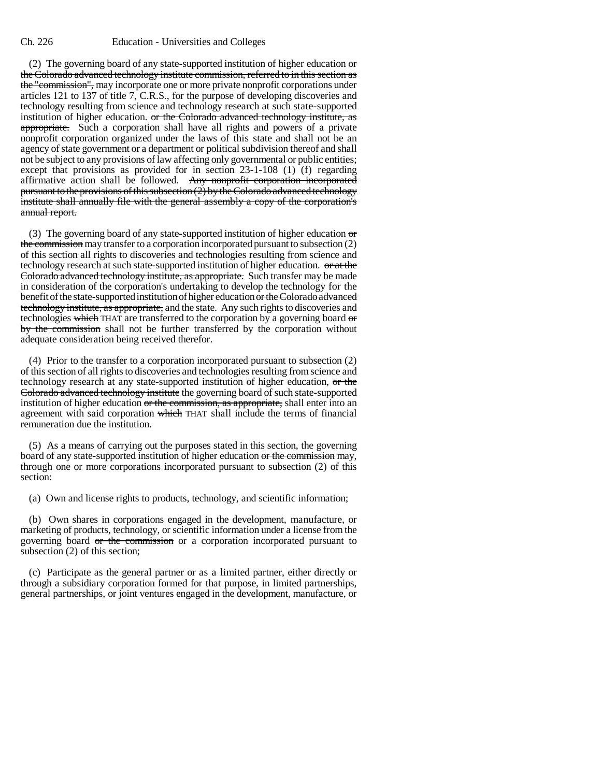(2) The governing board of any state-supported institution of higher education  $\sigma$ the Colorado advanced technology institute commission, referred to in this section as the "commission", may incorporate one or more private nonprofit corporations under articles 121 to 137 of title 7, C.R.S., for the purpose of developing discoveries and technology resulting from science and technology research at such state-supported institution of higher education. or the Colorado advanced technology institute, as appropriate. Such a corporation shall have all rights and powers of a private nonprofit corporation organized under the laws of this state and shall not be an agency of state government or a department or political subdivision thereof and shall not be subject to any provisions of law affecting only governmental or public entities; except that provisions as provided for in section 23-1-108 (1) (f) regarding affirmative action shall be followed. Any nonprofit corporation incorporated pursuant to the provisions of this subsection (2) by the Colorado advanced technology institute shall annually file with the general assembly a copy of the corporation's annual report.

(3) The governing board of any state-supported institution of higher education  $\sigma$ the commission may transfer to a corporation incorporated pursuant to subsection (2) of this section all rights to discoveries and technologies resulting from science and technology research at such state-supported institution of higher education. or at the Colorado advanced technology institute, as appropriate. Such transfer may be made in consideration of the corporation's undertaking to develop the technology for the benefit of the state-supported institution of higher education or the Colorado advanced technology institute, as appropriate, and the state. Any such rights to discoveries and technologies which THAT are transferred to the corporation by a governing board  $\sigma$ by the commission shall not be further transferred by the corporation without adequate consideration being received therefor.

(4) Prior to the transfer to a corporation incorporated pursuant to subsection (2) of this section of all rights to discoveries and technologies resulting from science and technology research at any state-supported institution of higher education, or the Colorado advanced technology institute the governing board of such state-supported institution of higher education or the commission, as appropriate, shall enter into an agreement with said corporation which THAT shall include the terms of financial remuneration due the institution.

(5) As a means of carrying out the purposes stated in this section, the governing board of any state-supported institution of higher education or the commission may, through one or more corporations incorporated pursuant to subsection (2) of this section:

(a) Own and license rights to products, technology, and scientific information;

(b) Own shares in corporations engaged in the development, manufacture, or marketing of products, technology, or scientific information under a license from the governing board or the commission or a corporation incorporated pursuant to subsection (2) of this section;

(c) Participate as the general partner or as a limited partner, either directly or through a subsidiary corporation formed for that purpose, in limited partnerships, general partnerships, or joint ventures engaged in the development, manufacture, or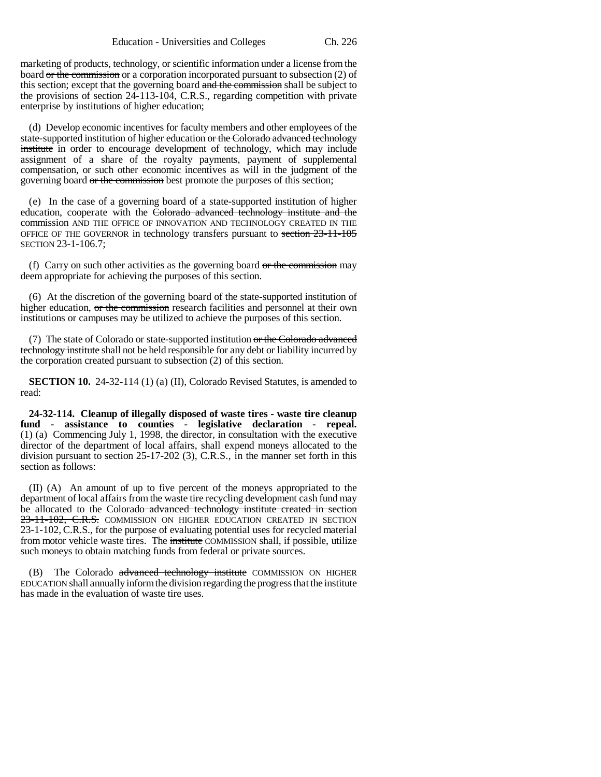marketing of products, technology, or scientific information under a license from the board or the commission or a corporation incorporated pursuant to subsection (2) of this section; except that the governing board and the commission shall be subject to the provisions of section 24-113-104, C.R.S., regarding competition with private enterprise by institutions of higher education;

(d) Develop economic incentives for faculty members and other employees of the state-supported institution of higher education or the Colorado advanced technology institute in order to encourage development of technology, which may include assignment of a share of the royalty payments, payment of supplemental compensation, or such other economic incentives as will in the judgment of the governing board or the commission best promote the purposes of this section;

(e) In the case of a governing board of a state-supported institution of higher education, cooperate with the Colorado advanced technology institute and the commission AND THE OFFICE OF INNOVATION AND TECHNOLOGY CREATED IN THE OFFICE OF THE GOVERNOR in technology transfers pursuant to section 23-11-105 SECTION 23-1-106.7;

(f) Carry on such other activities as the governing board  $or$  the commission may deem appropriate for achieving the purposes of this section.

(6) At the discretion of the governing board of the state-supported institution of higher education, or the commission research facilities and personnel at their own institutions or campuses may be utilized to achieve the purposes of this section.

(7) The state of Colorado or state-supported institution or the Colorado advanced technology institute shall not be held responsible for any debt or liability incurred by the corporation created pursuant to subsection (2) of this section.

**SECTION 10.** 24-32-114 (1) (a) (II), Colorado Revised Statutes, is amended to read:

**24-32-114. Cleanup of illegally disposed of waste tires - waste tire cleanup fund - assistance to counties - legislative declaration - repeal.** (1) (a) Commencing July 1, 1998, the director, in consultation with the executive director of the department of local affairs, shall expend moneys allocated to the division pursuant to section 25-17-202 (3), C.R.S., in the manner set forth in this section as follows:

(II) (A) An amount of up to five percent of the moneys appropriated to the department of local affairs from the waste tire recycling development cash fund may be allocated to the Colorado advanced technology institute created in section 23-11-102, C.R.S. COMMISSION ON HIGHER EDUCATION CREATED IN SECTION 23-1-102, C.R.S., for the purpose of evaluating potential uses for recycled material from motor vehicle waste tires. The institute COMMISSION shall, if possible, utilize such moneys to obtain matching funds from federal or private sources.

(B) The Colorado advanced technology institute COMMISSION ON HIGHER EDUCATION shall annually inform the division regarding the progress that the institute has made in the evaluation of waste tire uses.